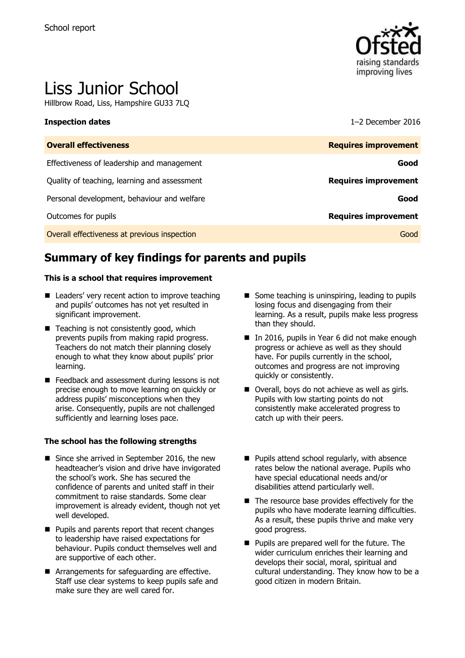

# Liss Junior School

Hillbrow Road, Liss, Hampshire GU33 7LQ

### **Inspection dates** 1–2 December 2016

| <b>Overall effectiveness</b>                 | <b>Requires improvement</b> |
|----------------------------------------------|-----------------------------|
| Effectiveness of leadership and management   | Good                        |
| Quality of teaching, learning and assessment | <b>Requires improvement</b> |
| Personal development, behaviour and welfare  | Good                        |
| Outcomes for pupils                          | <b>Requires improvement</b> |
| Overall effectiveness at previous inspection | Good                        |

# **Summary of key findings for parents and pupils**

### **This is a school that requires improvement**

- Leaders' very recent action to improve teaching and pupils' outcomes has not yet resulted in significant improvement.
- Teaching is not consistently good, which prevents pupils from making rapid progress. Teachers do not match their planning closely enough to what they know about pupils' prior learning.
- Feedback and assessment during lessons is not precise enough to move learning on quickly or address pupils' misconceptions when they arise. Consequently, pupils are not challenged sufficiently and learning loses pace.

### **The school has the following strengths**

- Since she arrived in September 2016, the new headteacher's vision and drive have invigorated the school's work. She has secured the confidence of parents and united staff in their commitment to raise standards. Some clear improvement is already evident, though not yet well developed.
- **Pupils and parents report that recent changes** to leadership have raised expectations for behaviour. Pupils conduct themselves well and are supportive of each other.
- Arrangements for safeguarding are effective. Staff use clear systems to keep pupils safe and make sure they are well cared for.
- Some teaching is uninspiring, leading to pupils losing focus and disengaging from their learning. As a result, pupils make less progress than they should.
- In 2016, pupils in Year 6 did not make enough progress or achieve as well as they should have. For pupils currently in the school, outcomes and progress are not improving quickly or consistently.
- Overall, boys do not achieve as well as girls. Pupils with low starting points do not consistently make accelerated progress to catch up with their peers.
- **Pupils attend school regularly, with absence** rates below the national average. Pupils who have special educational needs and/or disabilities attend particularly well.
- $\blacksquare$  The resource base provides effectively for the pupils who have moderate learning difficulties. As a result, these pupils thrive and make very good progress.
- **Pupils are prepared well for the future. The** wider curriculum enriches their learning and develops their social, moral, spiritual and cultural understanding. They know how to be a good citizen in modern Britain.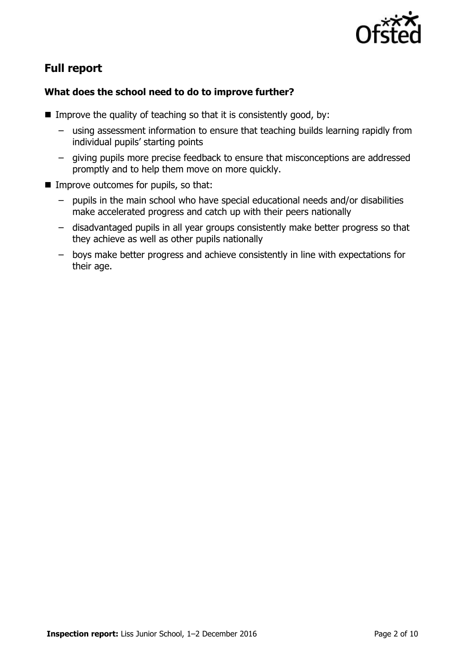

# **Full report**

### **What does the school need to do to improve further?**

- Improve the quality of teaching so that it is consistently good, by:
	- using assessment information to ensure that teaching builds learning rapidly from individual pupils' starting points
	- giving pupils more precise feedback to ensure that misconceptions are addressed promptly and to help them move on more quickly.
- Improve outcomes for pupils, so that:
	- pupils in the main school who have special educational needs and/or disabilities make accelerated progress and catch up with their peers nationally
	- disadvantaged pupils in all year groups consistently make better progress so that they achieve as well as other pupils nationally
	- boys make better progress and achieve consistently in line with expectations for their age.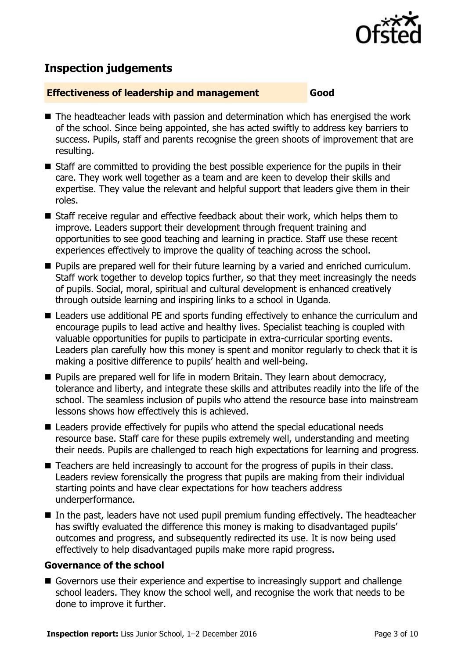

# **Inspection judgements**

### **Effectiveness of leadership and management Good**

- The headteacher leads with passion and determination which has energised the work of the school. Since being appointed, she has acted swiftly to address key barriers to success. Pupils, staff and parents recognise the green shoots of improvement that are resulting.
- Staff are committed to providing the best possible experience for the pupils in their care. They work well together as a team and are keen to develop their skills and expertise. They value the relevant and helpful support that leaders give them in their roles.
- Staff receive regular and effective feedback about their work, which helps them to improve. Leaders support their development through frequent training and opportunities to see good teaching and learning in practice. Staff use these recent experiences effectively to improve the quality of teaching across the school.
- **Pupils are prepared well for their future learning by a varied and enriched curriculum.** Staff work together to develop topics further, so that they meet increasingly the needs of pupils. Social, moral, spiritual and cultural development is enhanced creatively through outside learning and inspiring links to a school in Uganda.
- Leaders use additional PE and sports funding effectively to enhance the curriculum and encourage pupils to lead active and healthy lives. Specialist teaching is coupled with valuable opportunities for pupils to participate in extra-curricular sporting events. Leaders plan carefully how this money is spent and monitor regularly to check that it is making a positive difference to pupils' health and well-being.
- **Pupils are prepared well for life in modern Britain. They learn about democracy,** tolerance and liberty, and integrate these skills and attributes readily into the life of the school. The seamless inclusion of pupils who attend the resource base into mainstream lessons shows how effectively this is achieved.
- Leaders provide effectively for pupils who attend the special educational needs resource base. Staff care for these pupils extremely well, understanding and meeting their needs. Pupils are challenged to reach high expectations for learning and progress.
- Teachers are held increasingly to account for the progress of pupils in their class. Leaders review forensically the progress that pupils are making from their individual starting points and have clear expectations for how teachers address underperformance.
- In the past, leaders have not used pupil premium funding effectively. The headteacher has swiftly evaluated the difference this money is making to disadvantaged pupils' outcomes and progress, and subsequently redirected its use. It is now being used effectively to help disadvantaged pupils make more rapid progress.

### **Governance of the school**

Governors use their experience and expertise to increasingly support and challenge school leaders. They know the school well, and recognise the work that needs to be done to improve it further.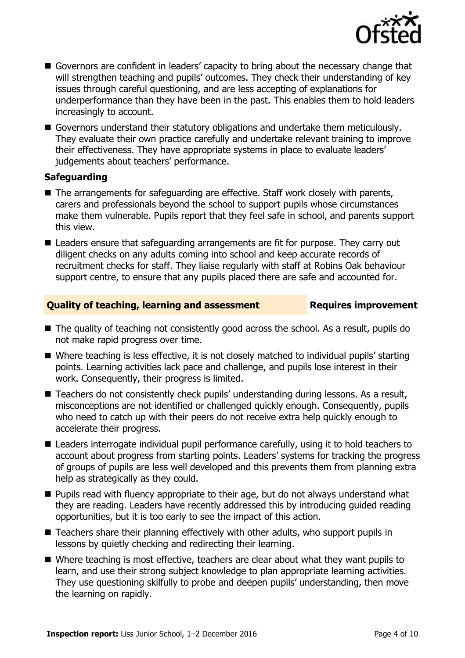

- Governors are confident in leaders' capacity to bring about the necessary change that will strengthen teaching and pupils' outcomes. They check their understanding of key issues through careful questioning, and are less accepting of explanations for underperformance than they have been in the past. This enables them to hold leaders increasingly to account.
- Governors understand their statutory obligations and undertake them meticulously. They evaluate their own practice carefully and undertake relevant training to improve their effectiveness. They have appropriate systems in place to evaluate leaders' judgements about teachers' performance.

### **Safeguarding**

- The arrangements for safeguarding are effective. Staff work closely with parents, carers and professionals beyond the school to support pupils whose circumstances make them vulnerable. Pupils report that they feel safe in school, and parents support this view.
- Leaders ensure that safeguarding arrangements are fit for purpose. They carry out diligent checks on any adults coming into school and keep accurate records of recruitment checks for staff. They liaise regularly with staff at Robins Oak behaviour support centre, to ensure that any pupils placed there are safe and accounted for.

### **Quality of teaching, learning and assessment Requires improvement**

- The quality of teaching not consistently good across the school. As a result, pupils do not make rapid progress over time.
- Where teaching is less effective, it is not closely matched to individual pupils' starting points. Learning activities lack pace and challenge, and pupils lose interest in their work. Consequently, their progress is limited.
- Teachers do not consistently check pupils' understanding during lessons. As a result, misconceptions are not identified or challenged quickly enough. Consequently, pupils who need to catch up with their peers do not receive extra help quickly enough to accelerate their progress.
- Leaders interrogate individual pupil performance carefully, using it to hold teachers to account about progress from starting points. Leaders' systems for tracking the progress of groups of pupils are less well developed and this prevents them from planning extra help as strategically as they could.
- **Pupils read with fluency appropriate to their age, but do not always understand what** they are reading. Leaders have recently addressed this by introducing guided reading opportunities, but it is too early to see the impact of this action.
- Teachers share their planning effectively with other adults, who support pupils in lessons by quietly checking and redirecting their learning.
- Where teaching is most effective, teachers are clear about what they want pupils to learn, and use their strong subject knowledge to plan appropriate learning activities. They use questioning skilfully to probe and deepen pupils' understanding, then move the learning on rapidly.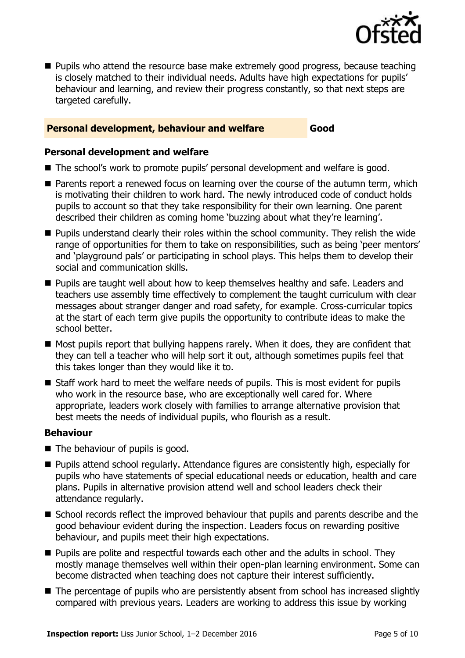

**Pupils who attend the resource base make extremely good progress, because teaching** is closely matched to their individual needs. Adults have high expectations for pupils' behaviour and learning, and review their progress constantly, so that next steps are targeted carefully.

### **Personal development, behaviour and welfare Good**

### **Personal development and welfare**

- The school's work to promote pupils' personal development and welfare is good.
- Parents report a renewed focus on learning over the course of the autumn term, which is motivating their children to work hard. The newly introduced code of conduct holds pupils to account so that they take responsibility for their own learning. One parent described their children as coming home 'buzzing about what they're learning'.
- **Pupils understand clearly their roles within the school community. They relish the wide** range of opportunities for them to take on responsibilities, such as being 'peer mentors' and 'playground pals' or participating in school plays. This helps them to develop their social and communication skills.
- **Pupils are taught well about how to keep themselves healthy and safe. Leaders and** teachers use assembly time effectively to complement the taught curriculum with clear messages about stranger danger and road safety, for example. Cross-curricular topics at the start of each term give pupils the opportunity to contribute ideas to make the school better.
- $\blacksquare$  Most pupils report that bullying happens rarely. When it does, they are confident that they can tell a teacher who will help sort it out, although sometimes pupils feel that this takes longer than they would like it to.
- Staff work hard to meet the welfare needs of pupils. This is most evident for pupils who work in the resource base, who are exceptionally well cared for. Where appropriate, leaders work closely with families to arrange alternative provision that best meets the needs of individual pupils, who flourish as a result.

### **Behaviour**

- The behaviour of pupils is good.
- Pupils attend school regularly. Attendance figures are consistently high, especially for pupils who have statements of special educational needs or education, health and care plans. Pupils in alternative provision attend well and school leaders check their attendance regularly.
- School records reflect the improved behaviour that pupils and parents describe and the good behaviour evident during the inspection. Leaders focus on rewarding positive behaviour, and pupils meet their high expectations.
- **Pupils are polite and respectful towards each other and the adults in school. They** mostly manage themselves well within their open-plan learning environment. Some can become distracted when teaching does not capture their interest sufficiently.
- The percentage of pupils who are persistently absent from school has increased slightly compared with previous years. Leaders are working to address this issue by working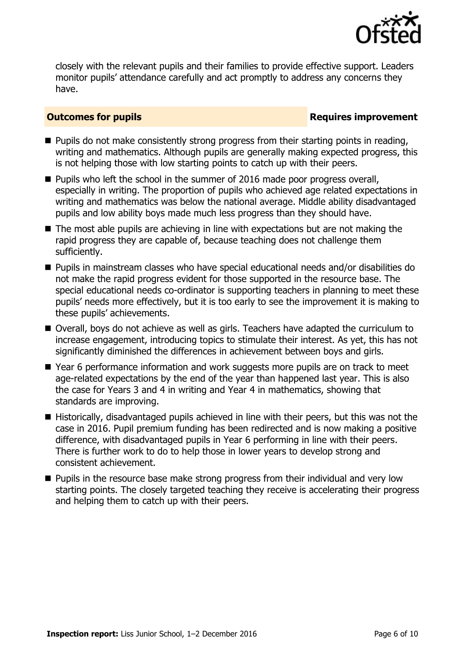

closely with the relevant pupils and their families to provide effective support. Leaders monitor pupils' attendance carefully and act promptly to address any concerns they have.

### **Outcomes for pupils Requires improvement**

- $\blacksquare$  Pupils do not make consistently strong progress from their starting points in reading, writing and mathematics. Although pupils are generally making expected progress, this is not helping those with low starting points to catch up with their peers.
- **Pupils who left the school in the summer of 2016 made poor progress overall,** especially in writing. The proportion of pupils who achieved age related expectations in writing and mathematics was below the national average. Middle ability disadvantaged pupils and low ability boys made much less progress than they should have.
- The most able pupils are achieving in line with expectations but are not making the rapid progress they are capable of, because teaching does not challenge them sufficiently.
- Pupils in mainstream classes who have special educational needs and/or disabilities do not make the rapid progress evident for those supported in the resource base. The special educational needs co-ordinator is supporting teachers in planning to meet these pupils' needs more effectively, but it is too early to see the improvement it is making to these pupils' achievements.
- Overall, boys do not achieve as well as girls. Teachers have adapted the curriculum to increase engagement, introducing topics to stimulate their interest. As yet, this has not significantly diminished the differences in achievement between boys and girls.
- Year 6 performance information and work suggests more pupils are on track to meet age-related expectations by the end of the year than happened last year. This is also the case for Years 3 and 4 in writing and Year 4 in mathematics, showing that standards are improving.
- Historically, disadvantaged pupils achieved in line with their peers, but this was not the case in 2016. Pupil premium funding has been redirected and is now making a positive difference, with disadvantaged pupils in Year 6 performing in line with their peers. There is further work to do to help those in lower years to develop strong and consistent achievement.
- **Pupils in the resource base make strong progress from their individual and very low** starting points. The closely targeted teaching they receive is accelerating their progress and helping them to catch up with their peers.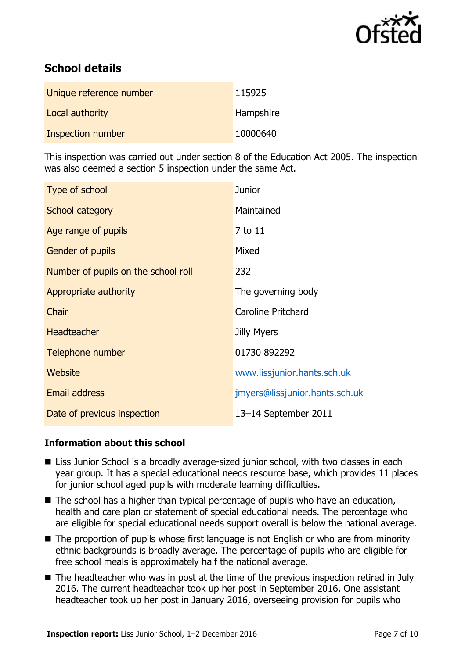

# **School details**

| Unique reference number | 115925    |
|-------------------------|-----------|
| Local authority         | Hampshire |
| Inspection number       | 10000640  |

This inspection was carried out under section 8 of the Education Act 2005. The inspection was also deemed a section 5 inspection under the same Act.

| Type of school                      | <b>Junior</b>                  |
|-------------------------------------|--------------------------------|
| School category                     | Maintained                     |
| Age range of pupils                 | 7 to 11                        |
| <b>Gender of pupils</b>             | Mixed                          |
| Number of pupils on the school roll | 232                            |
| Appropriate authority               | The governing body             |
| Chair                               | Caroline Pritchard             |
| <b>Headteacher</b>                  | <b>Jilly Myers</b>             |
| Telephone number                    | 01730 892292                   |
| Website                             | www.lissjunior.hants.sch.uk    |
| Email address                       | jmyers@lissjunior.hants.sch.uk |
| Date of previous inspection         | 13-14 September 2011           |

### **Information about this school**

- Liss Junior School is a broadly average-sized junior school, with two classes in each year group. It has a special educational needs resource base, which provides 11 places for junior school aged pupils with moderate learning difficulties.
- The school has a higher than typical percentage of pupils who have an education, health and care plan or statement of special educational needs. The percentage who are eligible for special educational needs support overall is below the national average.
- The proportion of pupils whose first language is not English or who are from minority ethnic backgrounds is broadly average. The percentage of pupils who are eligible for free school meals is approximately half the national average.
- The headteacher who was in post at the time of the previous inspection retired in July 2016. The current headteacher took up her post in September 2016. One assistant headteacher took up her post in January 2016, overseeing provision for pupils who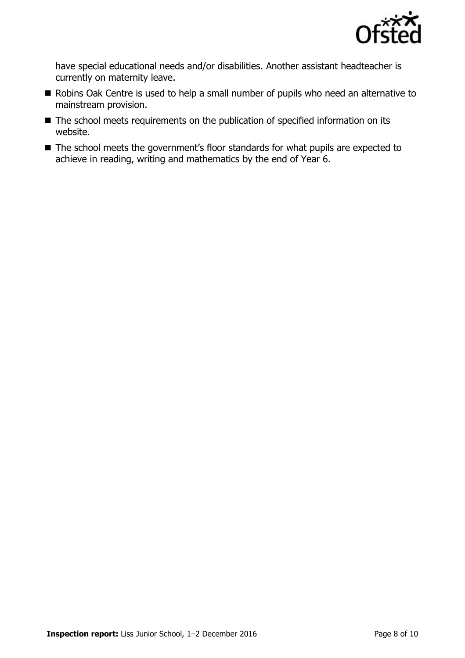

have special educational needs and/or disabilities. Another assistant headteacher is currently on maternity leave.

- Robins Oak Centre is used to help a small number of pupils who need an alternative to mainstream provision.
- The school meets requirements on the publication of specified information on its website.
- The school meets the government's floor standards for what pupils are expected to achieve in reading, writing and mathematics by the end of Year 6.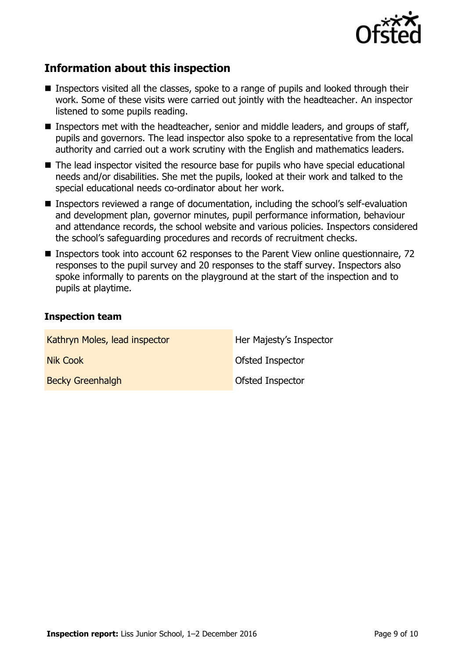

# **Information about this inspection**

- **Inspectors visited all the classes, spoke to a range of pupils and looked through their** work. Some of these visits were carried out jointly with the headteacher. An inspector listened to some pupils reading.
- Inspectors met with the headteacher, senior and middle leaders, and groups of staff, pupils and governors. The lead inspector also spoke to a representative from the local authority and carried out a work scrutiny with the English and mathematics leaders.
- The lead inspector visited the resource base for pupils who have special educational needs and/or disabilities. She met the pupils, looked at their work and talked to the special educational needs co-ordinator about her work.
- Inspectors reviewed a range of documentation, including the school's self-evaluation and development plan, governor minutes, pupil performance information, behaviour and attendance records, the school website and various policies. Inspectors considered the school's safeguarding procedures and records of recruitment checks.
- Inspectors took into account 62 responses to the Parent View online questionnaire, 72 responses to the pupil survey and 20 responses to the staff survey. Inspectors also spoke informally to parents on the playground at the start of the inspection and to pupils at playtime.

### **Inspection team**

| Kathryn Moles, lead inspector | Her Majesty's Inspector |
|-------------------------------|-------------------------|
| Nik Cook                      | Ofsted Inspector        |
| <b>Becky Greenhalgh</b>       | Ofsted Inspector        |